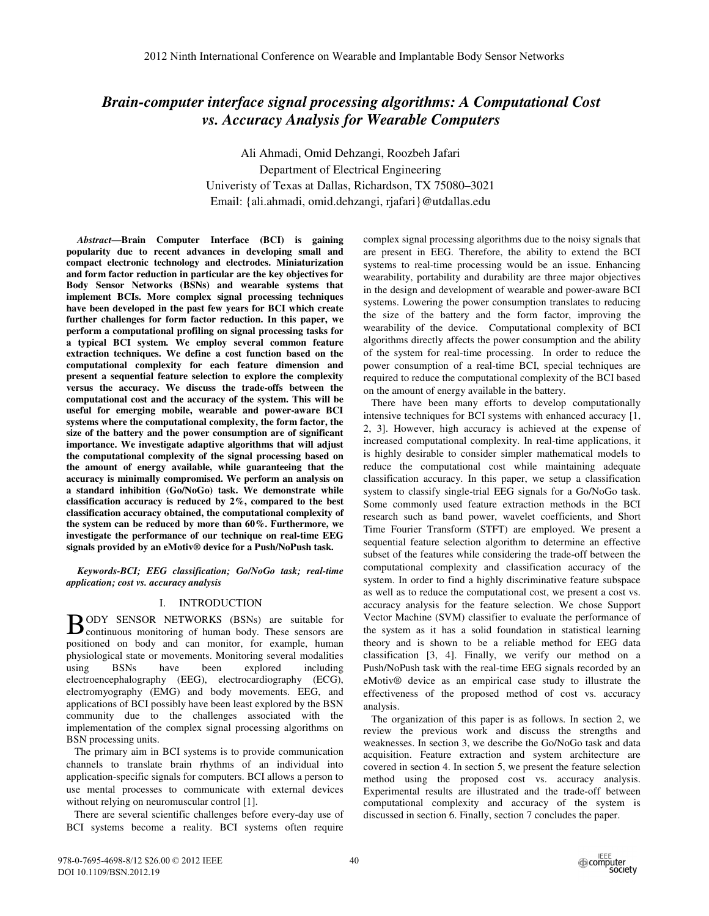# *Brain-computer interface signal processing algorithms: A Computational Cost vs. Accuracy Analysis for Wearable Computers*

Ali Ahmadi, Omid Dehzangi, Roozbeh Jafari Department of Electrical Engineering Univeristy of Texas at Dallas, Richardson, TX 75080–3021 Email: {ali.ahmadi, omid.dehzangi, rjafari}@utdallas.edu

*Abstract***—Brain Computer Interface (BCI) is gaining popularity due to recent advances in developing small and compact electronic technology and electrodes. Miniaturization and form factor reduction in particular are the key objectives for Body Sensor Networks (BSNs) and wearable systems that implement BCIs. More complex signal processing techniques have been developed in the past few years for BCI which create further challenges for form factor reduction. In this paper, we perform a computational profiling on signal processing tasks for a typical BCI system. We employ several common feature extraction techniques. We define a cost function based on the computational complexity for each feature dimension and present a sequential feature selection to explore the complexity versus the accuracy. We discuss the trade-offs between the computational cost and the accuracy of the system. This will be useful for emerging mobile, wearable and power-aware BCI systems where the computational complexity, the form factor, the size of the battery and the power consumption are of significant importance. We investigate adaptive algorithms that will adjust the computational complexity of the signal processing based on the amount of energy available, while guaranteeing that the accuracy is minimally compromised. We perform an analysis on a standard inhibition (Go/NoGo) task. We demonstrate while classification accuracy is reduced by 2%, compared to the best classification accuracy obtained, the computational complexity of the system can be reduced by more than 60%. Furthermore, we investigate the performance of our technique on real-time EEG signals provided by an eMotiv® device for a Push/NoPush task.** 

*Keywords-BCI; EEG classification; Go/NoGo task; real-time application; cost vs. accuracy analysis* 

## I. INTRODUCTION

ODY SENSOR NETWORKS (BSNs) are suitable for BODY SENSOR NETWORKS (BSNs) are suitable for continuous monitoring of human body. These sensors are positioned on body and can monitor, for example, human physiological state or movements. Monitoring several modalities using BSNs have been explored including electroencephalography (EEG), electrocardiography (ECG), electromyography (EMG) and body movements. EEG, and applications of BCI possibly have been least explored by the BSN community due to the challenges associated with the implementation of the complex signal processing algorithms on BSN processing units.

 The primary aim in BCI systems is to provide communication channels to translate brain rhythms of an individual into application-specific signals for computers. BCI allows a person to use mental processes to communicate with external devices without relying on neuromuscular control [1].

 There are several scientific challenges before every-day use of BCI systems become a reality. BCI systems often require complex signal processing algorithms due to the noisy signals that are present in EEG. Therefore, the ability to extend the BCI systems to real-time processing would be an issue. Enhancing wearability, portability and durability are three major objectives in the design and development of wearable and power-aware BCI systems. Lowering the power consumption translates to reducing the size of the battery and the form factor, improving the wearability of the device. Computational complexity of BCI algorithms directly affects the power consumption and the ability of the system for real-time processing. In order to reduce the power consumption of a real-time BCI, special techniques are required to reduce the computational complexity of the BCI based on the amount of energy available in the battery.

 There have been many efforts to develop computationally intensive techniques for BCI systems with enhanced accuracy [1, 2, 3]. However, high accuracy is achieved at the expense of increased computational complexity. In real-time applications, it is highly desirable to consider simpler mathematical models to reduce the computational cost while maintaining adequate classification accuracy. In this paper, we setup a classification system to classify single-trial EEG signals for a Go/NoGo task. Some commonly used feature extraction methods in the BCI research such as band power, wavelet coefficients, and Short Time Fourier Transform (STFT) are employed. We present a sequential feature selection algorithm to determine an effective subset of the features while considering the trade-off between the computational complexity and classification accuracy of the system. In order to find a highly discriminative feature subspace as well as to reduce the computational cost, we present a cost vs. accuracy analysis for the feature selection. We chose Support Vector Machine (SVM) classifier to evaluate the performance of the system as it has a solid foundation in statistical learning theory and is shown to be a reliable method for EEG data classification [3, 4]. Finally, we verify our method on a Push/NoPush task with the real-time EEG signals recorded by an eMotiv® device as an empirical case study to illustrate the effectiveness of the proposed method of cost vs. accuracy analysis.

 The organization of this paper is as follows. In section 2, we review the previous work and discuss the strengths and weaknesses. In section 3, we describe the Go/NoGo task and data acquisition. Feature extraction and system architecture are covered in section 4. In section 5, we present the feature selection method using the proposed cost vs. accuracy analysis. Experimental results are illustrated and the trade-off between computational complexity and accuracy of the system is discussed in section 6. Finally, section 7 concludes the paper.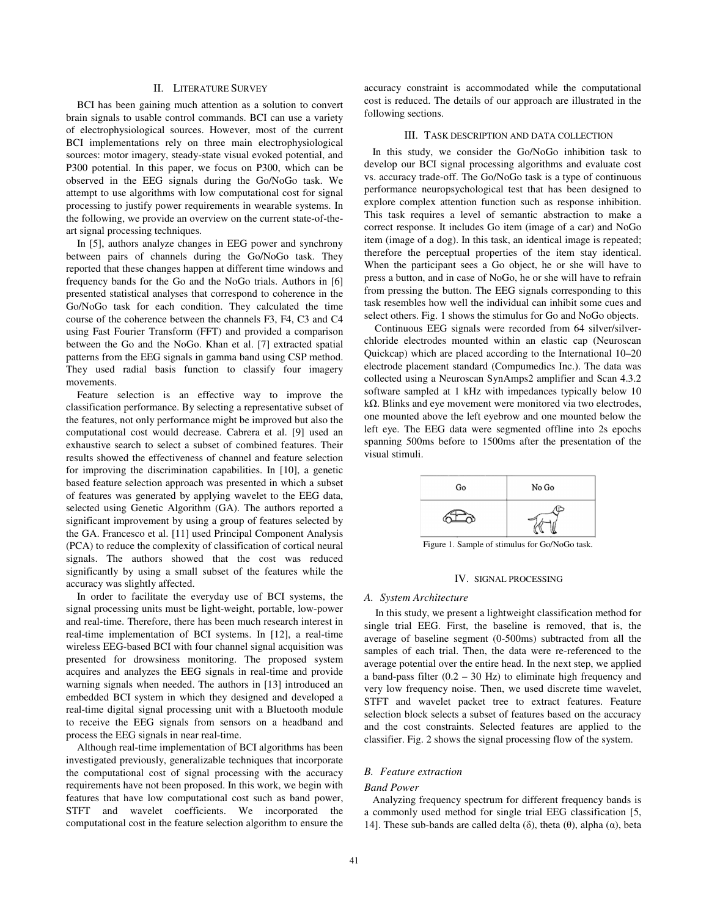## II. LITERATURE SURVEY

BCI has been gaining much attention as a solution to convert brain signals to usable control commands. BCI can use a variety of electrophysiological sources. However, most of the current BCI implementations rely on three main electrophysiological sources: motor imagery, steady-state visual evoked potential, and P300 potential. In this paper, we focus on P300, which can be observed in the EEG signals during the Go/NoGo task. We attempt to use algorithms with low computational cost for signal processing to justify power requirements in wearable systems. In the following, we provide an overview on the current state-of-theart signal processing techniques.

In [5], authors analyze changes in EEG power and synchrony between pairs of channels during the Go/NoGo task. They reported that these changes happen at different time windows and frequency bands for the Go and the NoGo trials. Authors in [6] presented statistical analyses that correspond to coherence in the Go/NoGo task for each condition. They calculated the time course of the coherence between the channels F3, F4, C3 and C4 using Fast Fourier Transform (FFT) and provided a comparison between the Go and the NoGo. Khan et al. [7] extracted spatial patterns from the EEG signals in gamma band using CSP method. They used radial basis function to classify four imagery movements.

Feature selection is an effective way to improve the classification performance. By selecting a representative subset of the features, not only performance might be improved but also the computational cost would decrease. Cabrera et al. [9] used an exhaustive search to select a subset of combined features. Their results showed the effectiveness of channel and feature selection for improving the discrimination capabilities. In [10], a genetic based feature selection approach was presented in which a subset of features was generated by applying wavelet to the EEG data, selected using Genetic Algorithm (GA). The authors reported a significant improvement by using a group of features selected by the GA. Francesco et al. [11] used Principal Component Analysis (PCA) to reduce the complexity of classification of cortical neural signals. The authors showed that the cost was reduced significantly by using a small subset of the features while the accuracy was slightly affected.

In order to facilitate the everyday use of BCI systems, the signal processing units must be light-weight, portable, low-power and real-time. Therefore, there has been much research interest in real-time implementation of BCI systems. In [12], a real-time wireless EEG-based BCI with four channel signal acquisition was presented for drowsiness monitoring. The proposed system acquires and analyzes the EEG signals in real-time and provide warning signals when needed. The authors in [13] introduced an embedded BCI system in which they designed and developed a real-time digital signal processing unit with a Bluetooth module to receive the EEG signals from sensors on a headband and process the EEG signals in near real-time.

Although real-time implementation of BCI algorithms has been investigated previously, generalizable techniques that incorporate the computational cost of signal processing with the accuracy requirements have not been proposed. In this work, we begin with features that have low computational cost such as band power, STFT and wavelet coefficients. We incorporated the computational cost in the feature selection algorithm to ensure the accuracy constraint is accommodated while the computational cost is reduced. The details of our approach are illustrated in the following sections.

## III. TASK DESCRIPTION AND DATA COLLECTION

In this study, we consider the Go/NoGo inhibition task to develop our BCI signal processing algorithms and evaluate cost vs. accuracy trade-off. The Go/NoGo task is a type of continuous performance neuropsychological test that has been designed to explore complex attention function such as response inhibition. This task requires a level of semantic abstraction to make a correct response. It includes Go item (image of a car) and NoGo item (image of a dog). In this task, an identical image is repeated; therefore the perceptual properties of the item stay identical. When the participant sees a Go object, he or she will have to press a button, and in case of NoGo, he or she will have to refrain from pressing the button. The EEG signals corresponding to this task resembles how well the individual can inhibit some cues and select others. Fig. 1 shows the stimulus for Go and NoGo objects.

 Continuous EEG signals were recorded from 64 silver/silverchloride electrodes mounted within an elastic cap (Neuroscan Quickcap) which are placed according to the International 10–20 electrode placement standard (Compumedics Inc.). The data was collected using a Neuroscan SynAmps2 amplifier and Scan 4.3.2 software sampled at 1 kHz with impedances typically below 10  $k\Omega$ . Blinks and eye movement were monitored via two electrodes, one mounted above the left eyebrow and one mounted below the left eye. The EEG data were segmented offline into 2s epochs spanning 500ms before to 1500ms after the presentation of the visual stimuli.



Figure 1. Sample of stimulus for Go/NoGo task*.*

### IV. SIGNAL PROCESSING

#### *A. System Architecture*

In this study, we present a lightweight classification method for single trial EEG. First, the baseline is removed, that is, the average of baseline segment (0-500ms) subtracted from all the samples of each trial. Then, the data were re-referenced to the average potential over the entire head. In the next step, we applied a band-pass filter  $(0.2 - 30$  Hz) to eliminate high frequency and very low frequency noise. Then, we used discrete time wavelet, STFT and wavelet packet tree to extract features. Feature selection block selects a subset of features based on the accuracy and the cost constraints. Selected features are applied to the classifier. Fig. 2 shows the signal processing flow of the system.

#### *B. Feature extraction*

## *Band Power*

 Analyzing frequency spectrum for different frequency bands is a commonly used method for single trial EEG classification [5, 14]. These sub-bands are called delta  $(\delta)$ , theta  $(\theta)$ , alpha  $(\alpha)$ , beta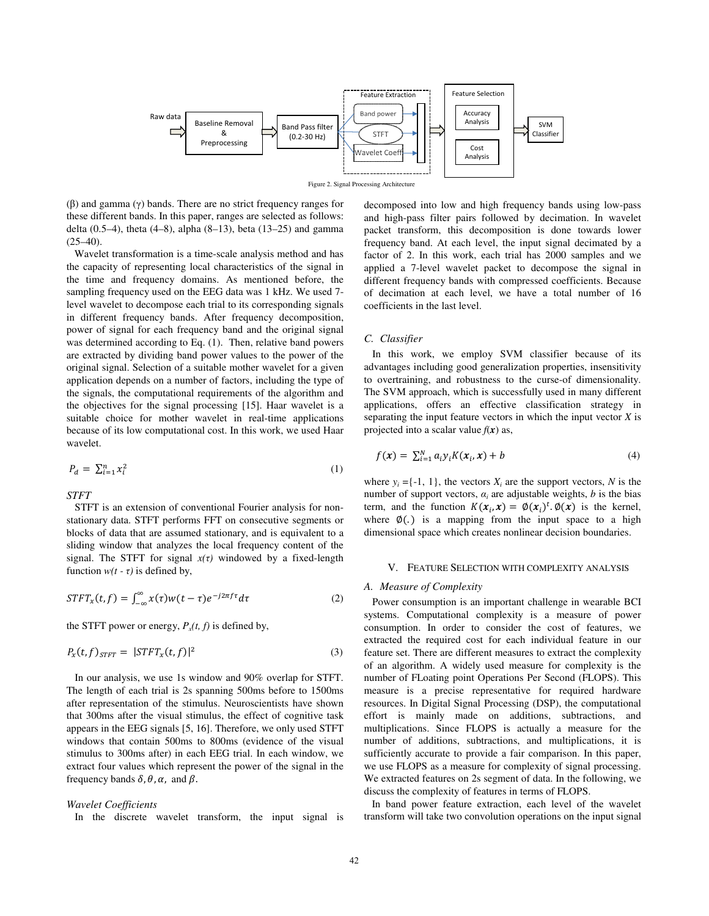

Figure 2. Signal Processing Architecture

 $(\beta)$  and gamma  $(\gamma)$  bands. There are no strict frequency ranges for these different bands. In this paper, ranges are selected as follows: delta  $(0.5-4)$ , theta  $(4-8)$ , alpha  $(8-13)$ , beta  $(13-25)$  and gamma  $(25-40).$ 

 Wavelet transformation is a time-scale analysis method and has the capacity of representing local characteristics of the signal in the time and frequency domains. As mentioned before, the sampling frequency used on the EEG data was 1 kHz. We used 7 level wavelet to decompose each trial to its corresponding signals in different frequency bands. After frequency decomposition, power of signal for each frequency band and the original signal was determined according to Eq. (1). Then, relative band powers are extracted by dividing band power values to the power of the original signal. Selection of a suitable mother wavelet for a given application depends on a number of factors, including the type of the signals, the computational requirements of the algorithm and the objectives for the signal processing [15]. Haar wavelet is a suitable choice for mother wavelet in real-time applications because of its low computational cost. In this work, we used Haar wavelet.

$$
P_d = \sum_{i=1}^n x_i^2 \tag{1}
$$

*STFT* 

 STFT is an extension of conventional Fourier analysis for nonstationary data. STFT performs FFT on consecutive segments or blocks of data that are assumed stationary, and is equivalent to a sliding window that analyzes the local frequency content of the signal. The STFT for signal  $x(\tau)$  windowed by a fixed-length function  $w(t - \tau)$  is defined by,

$$
STFT_x(t,f) = \int_{-\infty}^{\infty} x(\tau)w(t-\tau)e^{-j2\pi ft}\,d\tau\tag{2}
$$

the STFT power or energy,  $P_x(t, f)$  is defined by,

$$
P_x(t,f)_{STFT} = |STFT_x(t,f)|^2
$$
\n(3)

 In our analysis, we use 1s window and 90% overlap for STFT. The length of each trial is 2s spanning 500ms before to 1500ms after representation of the stimulus. Neuroscientists have shown that 300ms after the visual stimulus, the effect of cognitive task appears in the EEG signals [5, 16]. Therefore, we only used STFT windows that contain 500ms to 800ms (evidence of the visual stimulus to 300ms after) in each EEG trial. In each window, we extract four values which represent the power of the signal in the frequency bands  $\delta$ ,  $\theta$ ,  $\alpha$ , and  $\beta$ .

#### *Wavelet Coefficients*

In the discrete wavelet transform, the input signal is

decomposed into low and high frequency bands using low-pass and high-pass filter pairs followed by decimation. In wavelet packet transform, this decomposition is done towards lower frequency band. At each level, the input signal decimated by a factor of 2. In this work, each trial has 2000 samples and we applied a 7-level wavelet packet to decompose the signal in different frequency bands with compressed coefficients. Because of decimation at each level, we have a total number of 16 coefficients in the last level.

## *C. Classifier*

 In this work, we employ SVM classifier because of its advantages including good generalization properties, insensitivity to overtraining, and robustness to the curse-of dimensionality. The SVM approach, which is successfully used in many different applications, offers an effective classification strategy in separating the input feature vectors in which the input vector *X* is projected into a scalar value  $f(x)$  as,

$$
f(\mathbf{x}) = \sum_{i=1}^{N} a_i y_i K(\mathbf{x}_i, \mathbf{x}) + b \tag{4}
$$

where  $y_i = \{-1, 1\}$ , the vectors  $X_i$  are the support vectors, N is the number of support vectors,  $\alpha_i$  are adjustable weights, *b* is the bias term, and the function  $K(x_i, x) = \phi(x_i)^t \cdot \phi(x)$  is the kernel, where  $\phi(.)$  is a mapping from the input space to a high dimensional space which creates nonlinear decision boundaries.

## V. FEATURE SELECTION WITH COMPLEXITY ANALYSIS

#### *A. Measure of Complexity*

 Power consumption is an important challenge in wearable BCI systems. Computational complexity is a measure of power consumption. In order to consider the cost of features, we extracted the required cost for each individual feature in our feature set. There are different measures to extract the complexity of an algorithm. A widely used measure for complexity is the number of FLoating point Operations Per Second (FLOPS). This measure is a precise representative for required hardware resources. In Digital Signal Processing (DSP), the computational effort is mainly made on additions, subtractions, and multiplications. Since FLOPS is actually a measure for the number of additions, subtractions, and multiplications, it is sufficiently accurate to provide a fair comparison. In this paper, we use FLOPS as a measure for complexity of signal processing. We extracted features on 2s segment of data. In the following, we discuss the complexity of features in terms of FLOPS.

 In band power feature extraction, each level of the wavelet transform will take two convolution operations on the input signal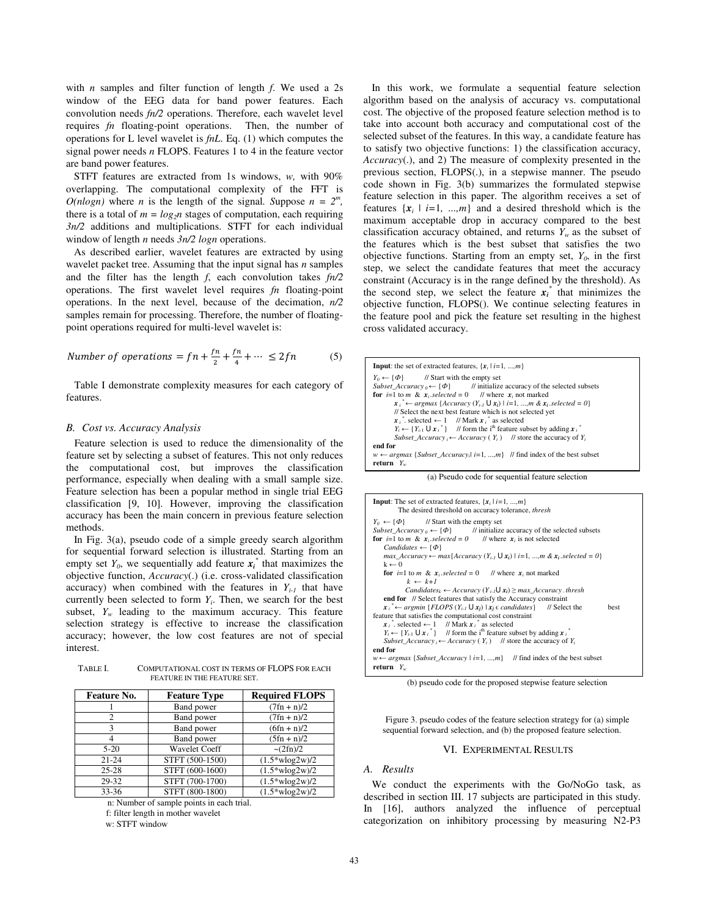with *n* samples and filter function of length *f*. We used a 2s window of the EEG data for band power features. Each convolution needs *fn/2* operations. Therefore, each wavelet level requires *fn* floating-point operations. Then, the number of operations for L level wavelet is *fnL*. Eq. (1) which computes the signal power needs *n* FLOPS. Features 1 to 4 in the feature vector are band power features.

 STFT features are extracted from 1s windows, *w,* with 90% overlapping. The computational complexity of the FFT is *O(nlogn)* where *n* is the length of the signal. Suppose  $n = 2^m$ , there is a total of  $m = log<sub>2</sub>n$  stages of computation, each requiring *3n/2* additions and multiplications. STFT for each individual window of length *n* needs  $3n/2$  logn operations.

 As described earlier, wavelet features are extracted by using wavelet packet tree. Assuming that the input signal has *n* samples and the filter has the length *f*, each convolution takes *fn/2* operations. The first wavelet level requires *fn* floating-point operations. In the next level, because of the decimation, *n/2* samples remain for processing. Therefore, the number of floatingpoint operations required for multi-level wavelet is:

Number of operations = 
$$
fn + \frac{fn}{2} + \frac{fn}{4} + \dots \le 2fn
$$
 (5)

 Table I demonstrate complexity measures for each category of features.

## *B. Cost vs. Accuracy Analysis*

 Feature selection is used to reduce the dimensionality of the feature set by selecting a subset of features. This not only reduces the computational cost, but improves the classification performance, especially when dealing with a small sample size. Feature selection has been a popular method in single trial EEG classification [9, 10]. However, improving the classification accuracy has been the main concern in previous feature selection methods.

 In Fig. 3(a), pseudo code of a simple greedy search algorithm for sequential forward selection is illustrated. Starting from an empty set  $Y_0$ , we sequentially add feature  $x_i^*$  that maximizes the objective function, *Accuracy*(.) (i.e. cross-validated classification accuracy) when combined with the features in  $Y_{i-1}$  that have currently been selected to form  $Y_i$ . Then, we search for the best subset,  $Y_w$  leading to the maximum accuracy. This feature selection strategy is effective to increase the classification accuracy; however, the low cost features are not of special interest.

TABLE I. COMPUTATIONAL COST IN TERMS OF FLOPS FOR EACH FEATURE IN THE FEATURE SET.

| Feature No. | <b>Feature Type</b>  | <b>Required FLOPS</b> |
|-------------|----------------------|-----------------------|
|             | Band power           | $(7fn + n)/2$         |
| 2           | Band power           | $(7fn + n)/2$         |
| 3           | Band power           | $(6fn + n)/2$         |
|             | Band power           | $(5fn + n)/2$         |
| $5-20$      | <b>Wavelet Coeff</b> | $-(2fn)/2$            |
| $21 - 24$   | STFT (500-1500)      | $(1.5*wlog2w)/2$      |
| $25 - 28$   | STFT (600-1600)      | $(1.5*wlog2w)/2$      |
| 29-32       | STFT (700-1700)      | $(1.5*wlog2w)/2$      |
| $33 - 36$   | STFT (800-1800)      | $(1.5*wlog2w)/2$      |

n: Number of sample points in each trial.

f: filter length in mother wavelet

w: STFT window

 In this work, we formulate a sequential feature selection algorithm based on the analysis of accuracy vs. computational cost. The objective of the proposed feature selection method is to take into account both accuracy and computational cost of the selected subset of the features. In this way, a candidate feature has to satisfy two objective functions: 1) the classification accuracy, *Accuracy*(.), and 2) The measure of complexity presented in the previous section, FLOPS(.), in a stepwise manner. The pseudo code shown in Fig. 3(b) summarizes the formulated stepwise feature selection in this paper. The algorithm receives a set of features  $\{x_i \mid i=1, ..., m\}$  and a desired threshold which is the maximum acceptable drop in accuracy compared to the best classification accuracy obtained, and returns  $Y_w$  as the subset of the features which is the best subset that satisfies the two objective functions. Starting from an empty set,  $Y_0$ , in the first step, we select the candidate features that meet the accuracy constraint (Accuracy is in the range defined by the threshold). As the second step, we select the feature  $x_i^*$  that minimizes the objective function, FLOPS(). We continue selecting features in the feature pool and pick the feature set resulting in the highest cross validated accuracy.

| <b>Input:</b> the set of extracted features, $\{x_i   i=1, , m\}$                                  |  |  |  |  |
|----------------------------------------------------------------------------------------------------|--|--|--|--|
| $Y_0 \leftarrow {\phi}$ // Start with the empty set                                                |  |  |  |  |
| <i>Subset Accuracy</i> $_0 \leftarrow {\phi}$ // initialize accuracy of the selected subsets       |  |  |  |  |
| <b>for</b> $i=1$ to $m \& x_i$ selected = 0 // where $x_i$ not marked                              |  |  |  |  |
| $x_i^* \leftarrow argmax$ {Accuracy $(Y_{i\cdot l} \cup x_i)$   i=1, ,m & $x_i$ selected = 0}      |  |  |  |  |
| // Select the next best feature which is not selected yet                                          |  |  |  |  |
| $x_i$ <sup>*</sup> . selected $\leftarrow$ 1 // Mark $x_i$ <sup>*</sup> as selected                |  |  |  |  |
| $Y_i \leftarrow \{Y_{i,1} \cup x_i^*\}\$ // form the i <sup>th</sup> feature subset by adding x, * |  |  |  |  |
| Subset Accuracy : $\leftarrow$ Accuracy (Y <sub>i</sub> ) // store the accuracy of Y <sub>i</sub>  |  |  |  |  |
| end for                                                                                            |  |  |  |  |
| $w \leftarrow argmax \{Subset Accuracy_i   i=1,,m\}$ // find index of the best subset              |  |  |  |  |
| return $Y_{w}$                                                                                     |  |  |  |  |

(a) Pseudo code for sequential feature selection

| <b>Input:</b> The set of extracted features, $\{x_i   i=1, , m\}$<br>The desired threshold on accuracy tolerance, thresh |
|--------------------------------------------------------------------------------------------------------------------------|
| $Y_0 \leftarrow {\phi}$ // Start with the empty set                                                                      |
|                                                                                                                          |
| Subset_Accuracy <sub>0</sub> $\leftarrow$ { $\Phi$ } // initialize accuracy of the selected subsets                      |
| <b>for</b> $i=1$ to $m \& x_i$ , selected = 0 // where $x_i$ is not selected                                             |
| Candidates $\leftarrow \{\Phi\}$                                                                                         |
| max Accuracy $\leftarrow$ max $\{Accuracy(Y_i, \cup x_i)   i=1, , m \& x_i \text{. selected } = 0 \}$                    |
| $k \leftarrow 0$                                                                                                         |
| <b>for</b> $i=1$ to <i>m</i> & $x_i$ selected = 0 <i>//</i> where $x_i$ not marked                                       |
| $k \leftarrow k+1$                                                                                                       |
| Candidates <sub>k</sub> $\leftarrow$ Accuracy $(Y_i, \bigcup \mathbf{x}_i) \geq max$ Accuracy thresh                     |
| end for // Select features that satisfy the Accuracy constraint                                                          |
| $x_i^* \leftarrow argmin \{FLOPS(Y_{i-1} \cup x_i)   x_i \in candidates\}$ // Select the<br>hest                         |
| feature that satisfies the computational cost constraint                                                                 |
| $x_i$ <sup>*</sup> . selected $\leftarrow$ 1 // Mark $x_i$ <sup>*</sup> as selected                                      |
| $Y_i \leftarrow \{Y_{i,1} \cup x_i \}$ // form the i <sup>th</sup> feature subset by adding x,                           |
| <i>Subset Accuracy</i> $\rightarrow$ <i>Accuracy</i> ( $Y_i$ ) // store the accuracy of $Y_i$                            |
| end for                                                                                                                  |
| $w \leftarrow argmax$ {Subset_Accuracy   i=1, ,m} // find index of the best subset                                       |
| return $Y_w$                                                                                                             |

(b) pseudo code for the proposed stepwise feature selection

Figure 3. pseudo codes of the feature selection strategy for (a) simple sequential forward selection, and (b) the proposed feature selection.

#### VI. EXPERIMENTAL RESULTS

## *A. Results*

 We conduct the experiments with the Go/NoGo task, as described in section III. 17 subjects are participated in this study. In [16], authors analyzed the influence of perceptual categorization on inhibitory processing by measuring N2-P3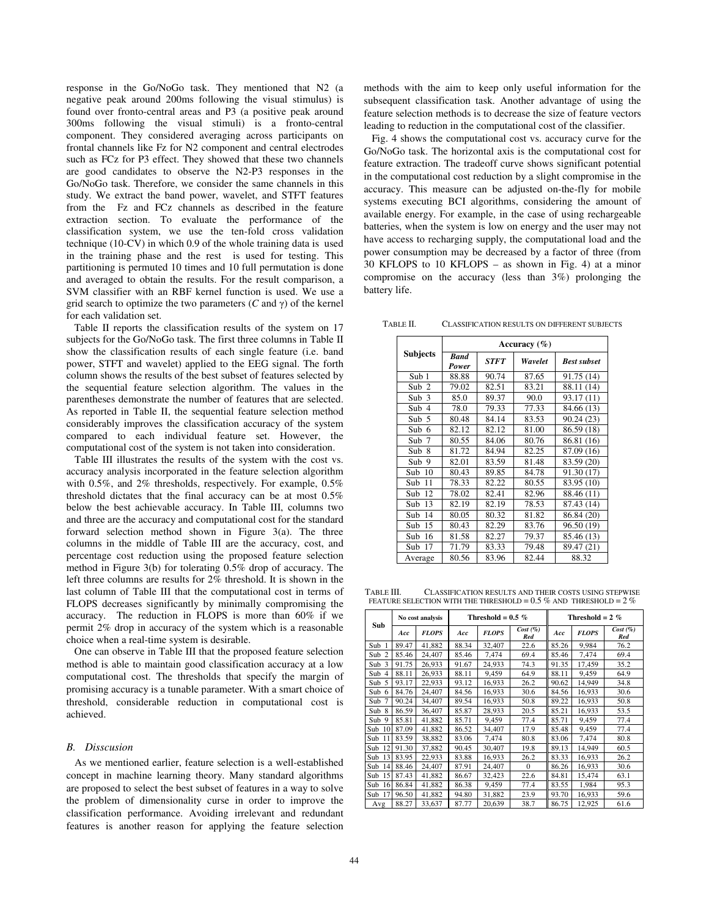response in the Go/NoGo task. They mentioned that N2 (a negative peak around 200ms following the visual stimulus) is found over fronto-central areas and P3 (a positive peak around 300ms following the visual stimuli) is a fronto-central component. They considered averaging across participants on frontal channels like Fz for N2 component and central electrodes such as FCz for P3 effect. They showed that these two channels are good candidates to observe the N2-P3 responses in the Go/NoGo task. Therefore, we consider the same channels in this study. We extract the band power, wavelet, and STFT features from the Fz and FCz channels as described in the feature extraction section. To evaluate the performance of the classification system, we use the ten-fold cross validation technique (10-CV) in which 0.9 of the whole training data is used in the training phase and the rest is used for testing. This partitioning is permuted 10 times and 10 full permutation is done and averaged to obtain the results. For the result comparison, a SVM classifier with an RBF kernel function is used. We use a grid search to optimize the two parameters  $(C \text{ and } \gamma)$  of the kernel for each validation set.

 Table II reports the classification results of the system on 17 subjects for the Go/NoGo task. The first three columns in Table II show the classification results of each single feature (i.e. band power, STFT and wavelet) applied to the EEG signal. The forth column shows the results of the best subset of features selected by the sequential feature selection algorithm. The values in the parentheses demonstrate the number of features that are selected. As reported in Table II, the sequential feature selection method considerably improves the classification accuracy of the system compared to each individual feature set. However, the computational cost of the system is not taken into consideration.

 Table III illustrates the results of the system with the cost vs. accuracy analysis incorporated in the feature selection algorithm with 0.5%, and 2% thresholds, respectively. For example, 0.5% threshold dictates that the final accuracy can be at most 0.5% below the best achievable accuracy. In Table III, columns two and three are the accuracy and computational cost for the standard forward selection method shown in Figure 3(a). The three columns in the middle of Table III are the accuracy, cost, and percentage cost reduction using the proposed feature selection method in Figure 3(b) for tolerating 0.5% drop of accuracy. The left three columns are results for 2% threshold. It is shown in the last column of Table III that the computational cost in terms of FLOPS decreases significantly by minimally compromising the accuracy. The reduction in FLOPS is more than 60% if we permit 2% drop in accuracy of the system which is a reasonable choice when a real-time system is desirable.

 One can observe in Table III that the proposed feature selection method is able to maintain good classification accuracy at a low computational cost. The thresholds that specify the margin of promising accuracy is a tunable parameter. With a smart choice of threshold, considerable reduction in computational cost is achieved.

#### *B. Disscusion*

 As we mentioned earlier, feature selection is a well-established concept in machine learning theory. Many standard algorithms are proposed to select the best subset of features in a way to solve the problem of dimensionality curse in order to improve the classification performance. Avoiding irrelevant and redundant features is another reason for applying the feature selection methods with the aim to keep only useful information for the subsequent classification task. Another advantage of using the feature selection methods is to decrease the size of feature vectors leading to reduction in the computational cost of the classifier.

 Fig. 4 shows the computational cost vs. accuracy curve for the Go/NoGo task. The horizontal axis is the computational cost for feature extraction. The tradeoff curve shows significant potential in the computational cost reduction by a slight compromise in the accuracy. This measure can be adjusted on-the-fly for mobile systems executing BCI algorithms, considering the amount of available energy. For example, in the case of using rechargeable batteries, when the system is low on energy and the user may not have access to recharging supply, the computational load and the power consumption may be decreased by a factor of three (from 30 KFLOPS to 10 KFLOPS – as shown in Fig. 4) at a minor compromise on the accuracy (less than 3%) prolonging the battery life.

TABLE II. CLASSIFICATION RESULTS ON DIFFERENT SUBJECTS

|                       | Accuracy $(\% )$     |             |         |                    |  |  |
|-----------------------|----------------------|-------------|---------|--------------------|--|--|
| <b>Subjects</b>       | <b>Band</b><br>Power | <b>STFT</b> | Wavelet | <b>Best subset</b> |  |  |
| Sub 1                 | 88.88                | 90.74       | 87.65   | 91.75 (14)         |  |  |
| Sub<br>$\overline{2}$ | 79.02                | 82.51       | 83.21   | 88.11 (14)         |  |  |
| Sub 3                 | 85.0                 | 89.37       | 90.0    | 93.17 (11)         |  |  |
| Sub<br>$\overline{4}$ | 78.0                 | 79.33       | 77.33   | 84.66 (13)         |  |  |
| Sub $5$               | 80.48                | 84.14       | 83.53   | 90.24(23)          |  |  |
| Sub<br>6              | 82.12                | 82.12       | 81.00   | 86.59 (18)         |  |  |
| Sub<br>7              | 80.55                | 84.06       | 80.76   | 86.81 (16)         |  |  |
| Sub<br>8              | 81.72                | 84.94       | 82.25   | 87.09 (16)         |  |  |
| Sub<br>9              | 82.01                | 83.59       | 81.48   | 83.59 (20)         |  |  |
| Sub<br>10             | 80.43                | 89.85       | 84.78   | 91.30 (17)         |  |  |
| 11<br>Sub             | 78.33                | 82.22       | 80.55   | 83.95 (10)         |  |  |
| 12<br>Sub             | 78.02                | 82.41       | 82.96   | 88.46 (11)         |  |  |
| 13<br>Sub             | 82.19                | 82.19       | 78.53   | 87.43 (14)         |  |  |
| 14<br>Sub             | 80.05                | 80.32       | 81.82   | 86.84 (20)         |  |  |
| 15<br>Sub             | 80.43                | 82.29       | 83.76   | 96.50 (19)         |  |  |
| Sub<br>16             | 81.58                | 82.27       | 79.37   | 85.46 (13)         |  |  |
| Sub<br>17             | 71.79                | 83.33       | 79.48   | 89.47 (21)         |  |  |
| Average               | 80.56                | 83.96       | 82.44   | 88.32              |  |  |

TABLE III. CLASSIFICATION RESULTS AND THEIR COSTS USING STEPWISE FEATURE SELECTION WITH THE THRESHOLD =  $0.5$  % AND THRESHOLD =  $2$  %

|                       |       | No cost analysis | Threshold = $0.5\%$ |              | Threshold = $2\%$ |       |              |                |
|-----------------------|-------|------------------|---------------------|--------------|-------------------|-------|--------------|----------------|
| Sub                   | Acc   | <b>FLOPS</b>     | Acc                 | <b>FLOPS</b> | Cost (%)<br>Red   | Acc   | <b>FLOPS</b> | Cost(%)<br>Red |
| Sub 1                 | 89.47 | 41,882           | 88.34               | 32,407       | 22.6              | 85.26 | 9,984        | 76.2           |
| $\overline{2}$<br>Sub | 85.46 | 24.407           | 85.46               | 7,474        | 69.4              | 85.46 | 7.474        | 69.4           |
| Sub 3                 | 91.75 | 26,933           | 91.67               | 24,933       | 74.3              | 91.35 | 17,459       | 35.2           |
| Sub 4                 | 88.11 | 26,933           | 88.11               | 9,459        | 64.9              | 88.11 | 9,459        | 64.9           |
| Sub 5                 | 93.17 | 22,933           | 93.12               | 16,933       | 26.2              | 90.62 | 14,949       | 34.8           |
| Sub $6$               | 84.76 | 24.407           | 84.56               | 16,933       | 30.6              | 84.56 | 16,933       | 30.6           |
| Sub 7                 | 90.24 | 34,407           | 89.54               | 16,933       | 50.8              | 89.22 | 16,933       | 50.8           |
| Sub 8                 | 86.59 | 36,407           | 85.87               | 28,933       | 20.5              | 85.21 | 16,933       | 53.5           |
| Sub<br>9              | 85.81 | 41,882           | 85.71               | 9.459        | 77.4              | 85.71 | 9.459        | 77.4           |
| $Sub$ 10              | 87.09 | 41,882           | 86.52               | 34,407       | 17.9              | 85.48 | 9,459        | 77.4           |
| $Sub$ 11              | 83.59 | 38,882           | 83.06               | 7.474        | 80.8              | 83.06 | 7.474        | 80.8           |
| 12<br>Sub             | 91.30 | 37,882           | 90.45               | 30,407       | 19.8              | 89.13 | 14.949       | 60.5           |
| Sub<br>13             | 83.95 | 22,933           | 83.88               | 16,933       | 26.2              | 83.33 | 16,933       | 26.2           |
| Sub<br>14             | 88.46 | 24,407           | 87.91               | 24,407       | $\mathbf{0}$      | 86.26 | 16,933       | 30.6           |
| Sub $15$              | 87.43 | 41,882           | 86.67               | 32,423       | 22.6              | 84.81 | 15,474       | 63.1           |
| Sub<br>16             | 86.84 | 41,882           | 86.38               | 9,459        | 77.4              | 83.55 | 1,984        | 95.3           |
| 17<br>Sub             | 96.50 | 41,882           | 94.80               | 31,882       | 23.9              | 93.70 | 16,933       | 59.6           |
| Avg                   | 88.27 | 33,637           | 87.77               | 20,639       | 38.7              | 86.75 | 12,925       | 61.6           |